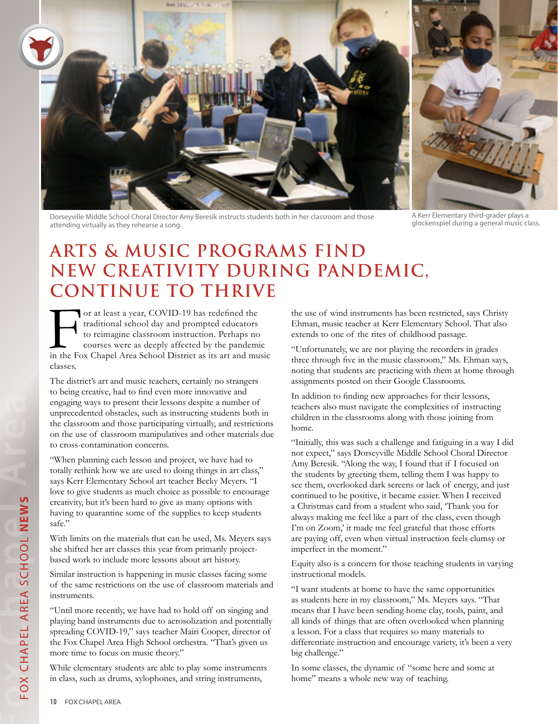

Dorseyville Middle School Choral Director Amy Beresik instructs students both in her classroom and those attending virtually as they rehearse a song.

A Kerr Elementary third-grader plays a<br>glockenspiel during a general music class.

## **ARTS & MUSIC PROGRAMS FIND NEW CREATIVITY DURING PANDEMIC, CONTINUE TO THRIVE**

or at least a year, COVID-19 has redefined the traditional school day and prompted educators to reimagine classroom instruction. Perhaps no courses were as deeply affected by the pandemin the Fox Chapel Area School Distric traditional school day and prompted educators to reimagine classroom instruction. Perhaps no courses were as deeply affected by the pandemic in the Fox Chapel Area School District as its art and music classes.

The district's art and music teachers, certainly no strangers to being creative, had to find even more innovative and engaging ways to present their lessons despite a number of unprecedented obstacles, such as instructing students both in the classroom and those participating virtually, and restrictions on the use of classroom manipulatives and other materials due to cross-contamination concerns.

"When planning each lesson and project, we have had to totally rethink how we are used to doing things in art class," says Kerr Elementary School art teacher Becky Meyers. "I love to give students as much choice as possible to encourage creativity, but it's been hard to give as many options with having to quarantine some of the supplies to keep students safe."

With limits on the materials that can be used, Ms. Meyers says she shifted her art classes this year from primarily projectbased work to include more lessons about art history.

Similar instruction is happening in music classes facing some of the same restrictions on the use of classroom materials and instruments.

"Until more recently, we have had to hold off on singing and playing band instruments due to aerosolization and potentially spreading COVID-19," says teacher Mairi Cooper, director of the Fox Chapel Area High School orchestra. "That's given us more time to focus on music theory."

While elementary students are able to play some instruments in class, such as drums, xylophones, and string instruments,

the use of wind instruments has been restricted, says Christy Ehman, music teacher at Kerr Elementary School. That also extends to one of the rites of childhood passage.

"Unfortunately, we are not playing the recorders in grades three through five in the music classroom," Ms. Ehman says, noting that students are practicing with them at home through assignments posted on their Google Classrooms.

In addition to finding new approaches for their lessons, teachers also must navigate the complexities of instructing children in the classrooms along with those joining from home.

"Initially, this was such a challenge and fatiguing in a way I did not expect," says Dorseyville Middle School Choral Director Amy Beresik. "Along the way, I found that if I focused on the students by greeting them, telling them I was happy to see them, overlooked dark screens or lack of energy, and just continued to be positive, it became easier. When I received a Christmas card from a student who said, 'Thank you for always making me feel like a part of the class, even though I'm on Zoom,' it made me feel grateful that those efforts are paying off, even when virtual instruction feels clumsy or imperfect in the moment."

Equity also is a concern for those teaching students in varying instructional models.

"I want students at home to have the same opportunities as students here in my classroom," Ms. Meyers says. "That means that I have been sending home clay, tools, paint, and all kinds of things that are often overlooked when planning a lesson. For a class that requires so many materials to differentiate instruction and encourage variety, it's been a very big challenge."

In some classes, the dynamic of "some here and some at home" means a whole new way of teaching.